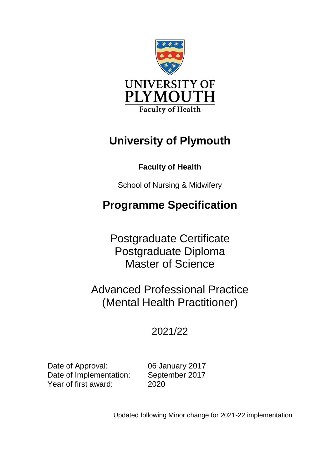

# **University of Plymouth**

# **Faculty of Health**

School of Nursing & Midwifery

# **Programme Specification**

Postgraduate Certificate Postgraduate Diploma Master of Science

Advanced Professional Practice (Mental Health Practitioner)

# 2021/22

Date of Approval: 06 January 2017 Date of Implementation: September 2017 Year of first award: 2020

Updated following Minor change for 2021-22 implementation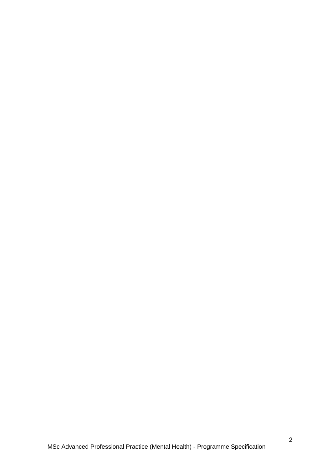2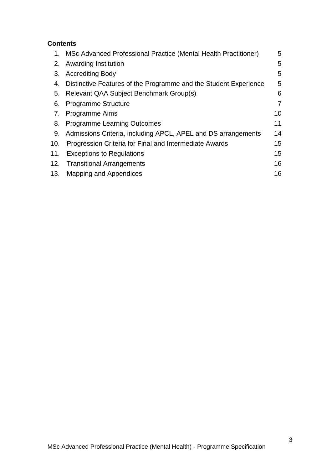#### **Contents**

| 1.  | MSc Advanced Professional Practice (Mental Health Practitioner)  | 5. |
|-----|------------------------------------------------------------------|----|
| 2.  | <b>Awarding Institution</b>                                      | 5  |
| 3.  | <b>Accrediting Body</b>                                          | 5  |
| 4.  | Distinctive Features of the Programme and the Student Experience | 5  |
| 5.  | Relevant QAA Subject Benchmark Group(s)                          | 6  |
| 6.  | <b>Programme Structure</b>                                       | 7  |
| 7.  | <b>Programme Aims</b>                                            | 10 |
| 8.  | <b>Programme Learning Outcomes</b>                               | 11 |
| 9.  | Admissions Criteria, including APCL, APEL and DS arrangements    | 14 |
| 10. | Progression Criteria for Final and Intermediate Awards           | 15 |
| 11. | <b>Exceptions to Regulations</b>                                 | 15 |
|     | 12. Transitional Arrangements                                    | 16 |
| 13. | <b>Mapping and Appendices</b>                                    | 16 |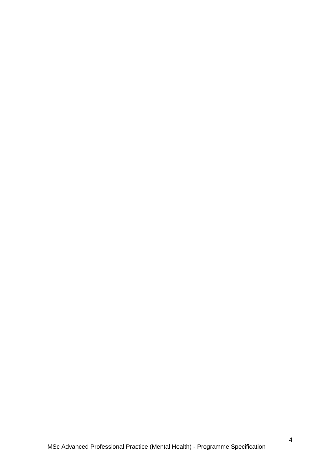4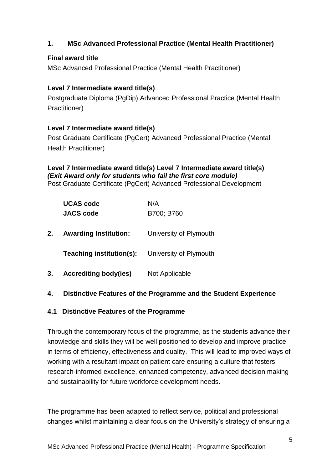#### **1. MSc Advanced Professional Practice (Mental Health Practitioner)**

#### **Final award title**

MSc Advanced Professional Practice (Mental Health Practitioner)

#### **Level 7 Intermediate award title(s)**

Postgraduate Diploma (PgDip) Advanced Professional Practice (Mental Health Practitioner)

#### **Level 7 Intermediate award title(s)**

Post Graduate Certificate (PgCert) Advanced Professional Practice (Mental Health Practitioner)

#### **Level 7 Intermediate award title(s) Level 7 Intermediate award title(s)**  *(Exit Award only for students who fail the first core module)* Post Graduate Certificate (PgCert) Advanced Professional Development

|    | <b>UCAS code</b><br><b>JACS code</b> | N/A<br>B700; B760      |
|----|--------------------------------------|------------------------|
| 2. | <b>Awarding Institution:</b>         | University of Plymouth |
|    | Teaching institution(s):             | University of Plymouth |
| 3. | <b>Accrediting body(ies)</b>         | Not Applicable         |

#### **4. Distinctive Features of the Programme and the Student Experience**

#### **4.1 Distinctive Features of the Programme**

Through the contemporary focus of the programme, as the students advance their knowledge and skills they will be well positioned to develop and improve practice in terms of efficiency, effectiveness and quality. This will lead to improved ways of working with a resultant impact on patient care ensuring a culture that fosters research-informed excellence, enhanced competency, advanced decision making and sustainability for future workforce development needs.

The programme has been adapted to reflect service, political and professional changes whilst maintaining a clear focus on the University's strategy of ensuring a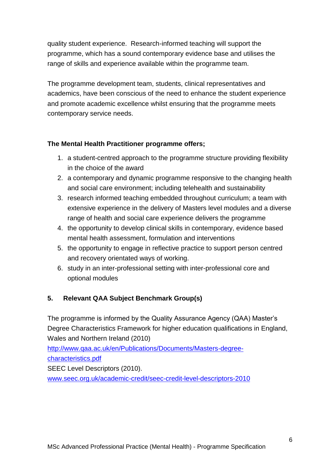quality student experience. Research-informed teaching will support the programme, which has a sound contemporary evidence base and utilises the range of skills and experience available within the programme team.

The programme development team, students, clinical representatives and academics, have been conscious of the need to enhance the student experience and promote academic excellence whilst ensuring that the programme meets contemporary service needs.

## **The Mental Health Practitioner programme offers;**

- 1. a student-centred approach to the programme structure providing flexibility in the choice of the award
- 2. a contemporary and dynamic programme responsive to the changing health and social care environment; including telehealth and sustainability
- 3. research informed teaching embedded throughout curriculum; a team with extensive experience in the delivery of Masters level modules and a diverse range of health and social care experience delivers the programme
- 4. the opportunity to develop clinical skills in contemporary, evidence based mental health assessment, formulation and interventions
- 5. the opportunity to engage in reflective practice to support person centred and recovery orientated ways of working.
- 6. study in an inter-professional setting with inter-professional core and optional modules

## **5. Relevant QAA Subject Benchmark Group(s)**

The programme is informed by the Quality Assurance Agency (QAA) Master's Degree Characteristics Framework for higher education qualifications in England, Wales and Northern Ireland (2010)

[http://www.qaa.ac.uk/en/Publications/Documents/Masters-degree](http://www.qaa.ac.uk/en/Publications/Documents/Masters-degree-characteristics.pdf)[characteristics.pdf](http://www.qaa.ac.uk/en/Publications/Documents/Masters-degree-characteristics.pdf) SEEC Level Descriptors (2010).

[www.seec.org.uk/academic-credit/seec-credit-level-descriptors-2010](http://www.seec.org.uk/academic-credit/seec-credit-level-descriptors-2010)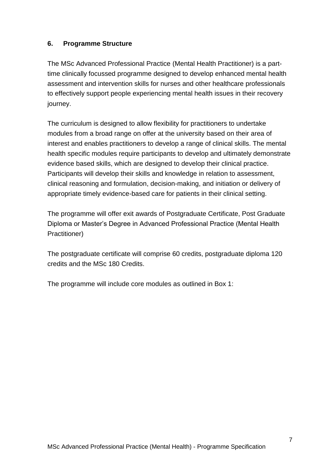#### **6. Programme Structure**

The MSc Advanced Professional Practice (Mental Health Practitioner) is a parttime clinically focussed programme designed to develop enhanced mental health assessment and intervention skills for nurses and other healthcare professionals to effectively support people experiencing mental health issues in their recovery journey.

The curriculum is designed to allow flexibility for practitioners to undertake modules from a broad range on offer at the university based on their area of interest and enables practitioners to develop a range of clinical skills. The mental health specific modules require participants to develop and ultimately demonstrate evidence based skills, which are designed to develop their clinical practice. Participants will develop their skills and knowledge in relation to assessment, clinical reasoning and formulation, decision-making, and initiation or delivery of appropriate timely evidence-based care for patients in their clinical setting.

The programme will offer exit awards of Postgraduate Certificate, Post Graduate Diploma or Master's Degree in Advanced Professional Practice (Mental Health Practitioner)

The postgraduate certificate will comprise 60 credits, postgraduate diploma 120 credits and the MSc 180 Credits.

The programme will include core modules as outlined in Box 1: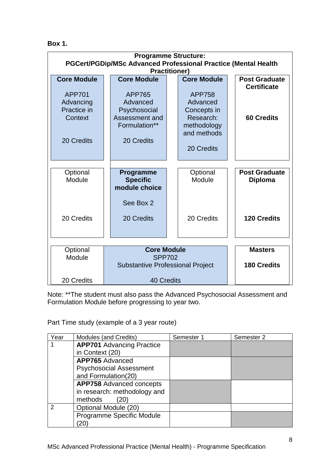| <b>Programme Structure:</b><br>PGCert/PGDip/MSc Advanced Professional Practice (Mental Health<br><b>Practitioner)</b> |                                                                                            |                                                                                                   |                                            |  |  |
|-----------------------------------------------------------------------------------------------------------------------|--------------------------------------------------------------------------------------------|---------------------------------------------------------------------------------------------------|--------------------------------------------|--|--|
| <b>Core Module</b>                                                                                                    | <b>Core Module</b>                                                                         | <b>Core Module</b>                                                                                | <b>Post Graduate</b><br><b>Certificate</b> |  |  |
| <b>APP701</b><br>Advancing<br>Practice in<br>Context<br>20 Credits                                                    | <b>APP765</b><br>Advanced<br>Psychosocial<br>Assessment and<br>Formulation**<br>20 Credits | <b>APP758</b><br>Advanced<br>Concepts in<br>Research:<br>methodology<br>and methods<br>20 Credits | <b>60 Credits</b>                          |  |  |
| Optional<br>Module                                                                                                    | <b>Programme</b><br><b>Specific</b><br>module choice<br>See Box 2                          | Optional<br>Module                                                                                | <b>Post Graduate</b><br><b>Diploma</b>     |  |  |
| 20 Credits                                                                                                            | 20 Credits                                                                                 | 20 Credits                                                                                        | <b>120 Credits</b>                         |  |  |
| Optional<br><b>Core Module</b>                                                                                        |                                                                                            |                                                                                                   | <b>Masters</b>                             |  |  |
| Module                                                                                                                | <b>SPP702</b><br><b>Substantive Professional Project</b>                                   | <b>180 Credits</b>                                                                                |                                            |  |  |
| 20 Credits<br><b>40 Credits</b>                                                                                       |                                                                                            |                                                                                                   |                                            |  |  |

Note: \*\*The student must also pass the Advanced Psychosocial Assessment and Formulation Module before progressing to year two.

Part Time study (example of a 3 year route)

| Year | Modules (and Credits)            | Semester 1 | Semester 2 |
|------|----------------------------------|------------|------------|
|      | <b>APP701 Advancing Practice</b> |            |            |
|      | in Context (20)                  |            |            |
|      | <b>APP765 Advanced</b>           |            |            |
|      | <b>Psychosocial Assessment</b>   |            |            |
|      | and Formulation(20)              |            |            |
|      | <b>APP758</b> Advanced concepts  |            |            |
|      | in research: methodology and     |            |            |
|      | methods<br>20                    |            |            |
| 2    | Optional Module (20)             |            |            |
|      | Programme Specific Module        |            |            |
|      | 20                               |            |            |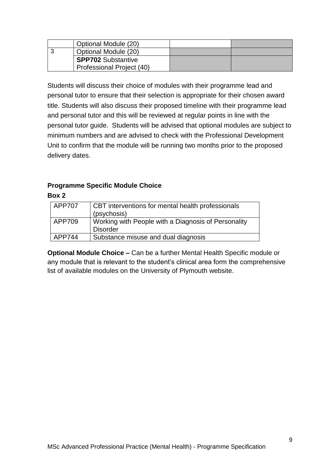| Optional Module (20)      |  |
|---------------------------|--|
| Optional Module (20)      |  |
| <b>SPP702 Substantive</b> |  |
| Professional Project (40) |  |

Students will discuss their choice of modules with their programme lead and personal tutor to ensure that their selection is appropriate for their chosen award title. Students will also discuss their proposed timeline with their programme lead and personal tutor and this will be reviewed at regular points in line with the personal tutor guide. Students will be advised that optional modules are subject to minimum numbers and are advised to check with the Professional Development Unit to confirm that the module will be running two months prior to the proposed delivery dates.

# **Programme Specific Module Choice**

**Box 2**

| APP707 | CBT interventions for mental health professionals<br>(psychosis)       |  |
|--------|------------------------------------------------------------------------|--|
| APP709 | Working with People with a Diagnosis of Personality<br><b>Disorder</b> |  |
| APP744 | Substance misuse and dual diagnosis                                    |  |

**Optional Module Choice –** Can be a further Mental Health Specific module or any module that is relevant to the student's clinical area form the comprehensive list of available modules on the University of Plymouth website.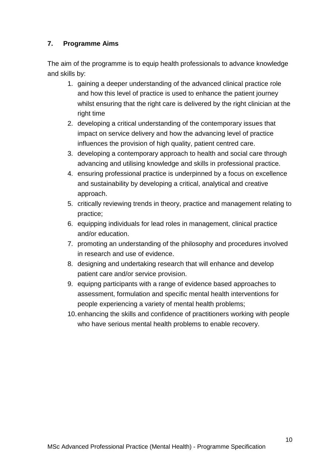#### **7. Programme Aims**

The aim of the programme is to equip health professionals to advance knowledge and skills by:

- 1. gaining a deeper understanding of the advanced clinical practice role and how this level of practice is used to enhance the patient journey whilst ensuring that the right care is delivered by the right clinician at the right time
- 2. developing a critical understanding of the contemporary issues that impact on service delivery and how the advancing level of practice influences the provision of high quality, patient centred care.
- 3. developing a contemporary approach to health and social care through advancing and utilising knowledge and skills in professional practice.
- 4. ensuring professional practice is underpinned by a focus on excellence and sustainability by developing a critical, analytical and creative approach.
- 5. critically reviewing trends in theory, practice and management relating to practice;
- 6. equipping individuals for lead roles in management, clinical practice and/or education.
- 7. promoting an understanding of the philosophy and procedures involved in research and use of evidence.
- 8. designing and undertaking research that will enhance and develop patient care and/or service provision.
- 9. equipng participants with a range of evidence based approaches to assessment, formulation and specific mental health interventions for people experiencing a variety of mental health problems;
- 10.enhancing the skills and confidence of practitioners working with people who have serious mental health problems to enable recovery.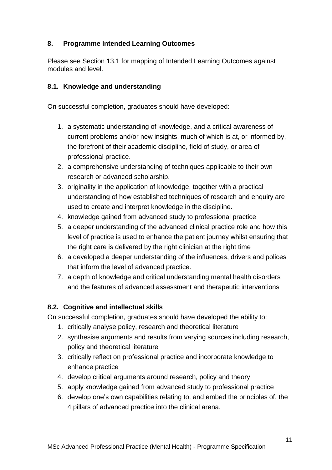#### **8. Programme Intended Learning Outcomes**

Please see Section 13.1 for mapping of Intended Learning Outcomes against modules and level.

#### **8.1. Knowledge and understanding**

On successful completion, graduates should have developed:

- 1. a systematic understanding of knowledge, and a critical awareness of current problems and/or new insights, much of which is at, or informed by, the forefront of their academic discipline, field of study, or area of professional practice.
- 2. a comprehensive understanding of techniques applicable to their own research or advanced scholarship.
- 3. originality in the application of knowledge, together with a practical understanding of how established techniques of research and enquiry are used to create and interpret knowledge in the discipline.
- 4. knowledge gained from advanced study to professional practice
- 5. a deeper understanding of the advanced clinical practice role and how this level of practice is used to enhance the patient journey whilst ensuring that the right care is delivered by the right clinician at the right time
- 6. a developed a deeper understanding of the influences, drivers and polices that inform the level of advanced practice.
- 7. a depth of knowledge and critical understanding mental health disorders and the features of advanced assessment and therapeutic interventions

#### **8.2. Cognitive and intellectual skills**

On successful completion, graduates should have developed the ability to:

- 1. critically analyse policy, research and theoretical literature
- 2. synthesise arguments and results from varying sources including research, policy and theoretical literature
- 3. critically reflect on professional practice and incorporate knowledge to enhance practice
- 4. develop critical arguments around research, policy and theory
- 5. apply knowledge gained from advanced study to professional practice
- 6. develop one's own capabilities relating to, and embed the principles of, the 4 pillars of advanced practice into the clinical arena.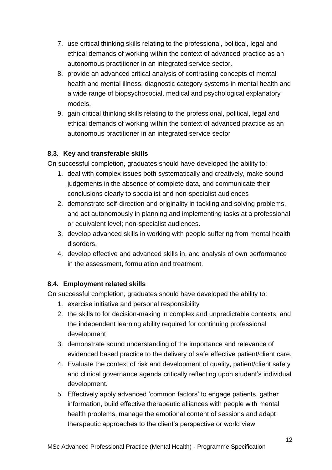- 7. use critical thinking skills relating to the professional, political, legal and ethical demands of working within the context of advanced practice as an autonomous practitioner in an integrated service sector.
- 8. provide an advanced critical analysis of contrasting concepts of mental health and mental illness, diagnostic category systems in mental health and a wide range of biopsychosocial, medical and psychological explanatory models.
- 9. gain critical thinking skills relating to the professional, political, legal and ethical demands of working within the context of advanced practice as an autonomous practitioner in an integrated service sector

#### **8.3. Key and transferable skills**

On successful completion, graduates should have developed the ability to:

- 1. deal with complex issues both systematically and creatively, make sound judgements in the absence of complete data, and communicate their conclusions clearly to specialist and non-specialist audiences
- 2. demonstrate self-direction and originality in tackling and solving problems, and act autonomously in planning and implementing tasks at a professional or equivalent level; non-specialist audiences.
- 3. develop advanced skills in working with people suffering from mental health disorders.
- 4. develop effective and advanced skills in, and analysis of own performance in the assessment, formulation and treatment.

## **8.4. Employment related skills**

On successful completion, graduates should have developed the ability to:

- 1. exercise initiative and personal responsibility
- 2. the skills to for decision-making in complex and unpredictable contexts; and the independent learning ability required for continuing professional development
- 3. demonstrate sound understanding of the importance and relevance of evidenced based practice to the delivery of safe effective patient/client care.
- 4. Evaluate the context of risk and development of quality, patient/client safety and clinical governance agenda critically reflecting upon student's individual development.
- 5. Effectively apply advanced 'common factors' to engage patients, gather information, build effective therapeutic alliances with people with mental health problems, manage the emotional content of sessions and adapt therapeutic approaches to the client's perspective or world view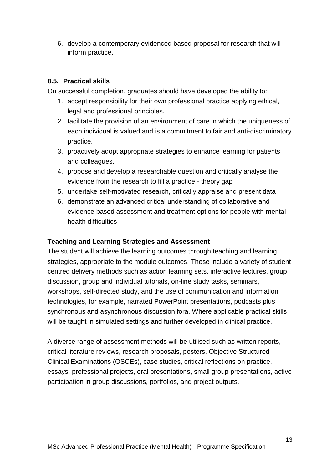6. develop a contemporary evidenced based proposal for research that will inform practice.

#### **8.5. Practical skills**

On successful completion, graduates should have developed the ability to:

- 1. accept responsibility for their own professional practice applying ethical, legal and professional principles.
- 2. facilitate the provision of an environment of care in which the uniqueness of each individual is valued and is a commitment to fair and anti-discriminatory practice.
- 3. proactively adopt appropriate strategies to enhance learning for patients and colleagues.
- 4. propose and develop a researchable question and critically analyse the evidence from the research to fill a practice - theory gap
- 5. undertake self-motivated research, critically appraise and present data
- 6. demonstrate an advanced critical understanding of collaborative and evidence based assessment and treatment options for people with mental health difficulties

#### **Teaching and Learning Strategies and Assessment**

The student will achieve the learning outcomes through teaching and learning strategies, appropriate to the module outcomes. These include a variety of student centred delivery methods such as action learning sets, interactive lectures, group discussion, group and individual tutorials, on-line study tasks, seminars, workshops, self-directed study, and the use of communication and information technologies, for example, narrated PowerPoint presentations, podcasts plus synchronous and asynchronous discussion fora. Where applicable practical skills will be taught in simulated settings and further developed in clinical practice.

A diverse range of assessment methods will be utilised such as written reports, critical literature reviews, research proposals, posters, Objective Structured Clinical Examinations (OSCEs), case studies, critical reflections on practice, essays, professional projects, oral presentations, small group presentations, active participation in group discussions, portfolios, and project outputs.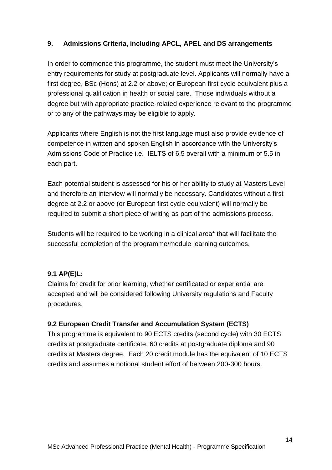#### **9. Admissions Criteria, including APCL, APEL and DS arrangements**

In order to commence this programme, the student must meet the University's entry requirements for study at postgraduate level. Applicants will normally have a first degree, BSc (Hons) at 2.2 or above; or European first cycle equivalent plus a professional qualification in health or social care. Those individuals without a degree but with appropriate practice-related experience relevant to the programme or to any of the pathways may be eligible to apply.

Applicants where English is not the first language must also provide evidence of competence in written and spoken English in accordance with the University's Admissions Code of Practice i.e. IELTS of 6.5 overall with a minimum of 5.5 in each part.

Each potential student is assessed for his or her ability to study at Masters Level and therefore an interview will normally be necessary. Candidates without a first degree at 2.2 or above (or European first cycle equivalent) will normally be required to submit a short piece of writing as part of the admissions process.

Students will be required to be working in a clinical area\* that will facilitate the successful completion of the programme/module learning outcomes.

#### **9.1 AP(E)L:**

Claims for credit for prior learning, whether certificated or experiential are accepted and will be considered following University regulations and Faculty procedures.

#### **9.2 European Credit Transfer and Accumulation System (ECTS)**

This programme is equivalent to 90 ECTS credits (second cycle) with 30 ECTS credits at postgraduate certificate, 60 credits at postgraduate diploma and 90 credits at Masters degree. Each 20 credit module has the equivalent of 10 ECTS credits and assumes a notional student effort of between 200-300 hours.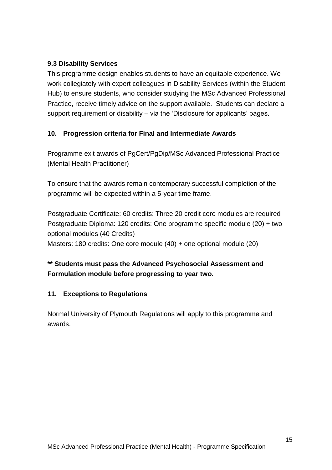#### **9.3 Disability Services**

This programme design enables students to have an equitable experience. We work collegiately with expert colleagues in Disability Services (within the Student Hub) to ensure students, who consider studying the MSc Advanced Professional Practice, receive timely advice on the support available. Students can declare a support requirement or disability – via the 'Disclosure for applicants' pages.

#### **10. Progression criteria for Final and Intermediate Awards**

Programme exit awards of PgCert/PgDip/MSc Advanced Professional Practice (Mental Health Practitioner)

To ensure that the awards remain contemporary successful completion of the programme will be expected within a 5-year time frame.

Postgraduate Certificate: 60 credits: Three 20 credit core modules are required Postgraduate Diploma: 120 credits: One programme specific module (20) + two optional modules (40 Credits)

Masters: 180 credits: One core module (40) + one optional module (20)

# **\*\* Students must pass the Advanced Psychosocial Assessment and Formulation module before progressing to year two.**

#### **11. Exceptions to Regulations**

Normal University of Plymouth Regulations will apply to this programme and awards.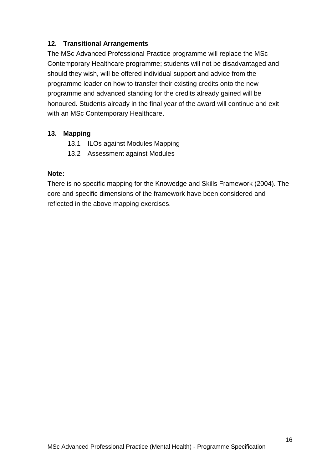#### **12. Transitional Arrangements**

The MSc Advanced Professional Practice programme will replace the MSc Contemporary Healthcare programme; students will not be disadvantaged and should they wish, will be offered individual support and advice from the programme leader on how to transfer their existing credits onto the new programme and advanced standing for the credits already gained will be honoured. Students already in the final year of the award will continue and exit with an MSc Contemporary Healthcare.

#### **13. Mapping**

- 13.1 ILOs against Modules Mapping
- 13.2 Assessment against Modules

#### **Note:**

There is no specific mapping for the Knowedge and Skills Framework (2004). The core and specific dimensions of the framework have been considered and reflected in the above mapping exercises.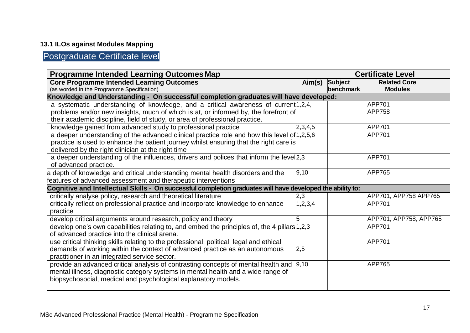# **13.1 ILOs against Modules Mapping**

# Postgraduate Certificate level

| <b>Programme Intended Learning Outcomes Map</b>                                                            |            | <b>Certificate Level</b> |                        |  |
|------------------------------------------------------------------------------------------------------------|------------|--------------------------|------------------------|--|
| <b>Core Programme Intended Learning Outcomes</b>                                                           | Aim(s)     | <b>Subject</b>           | <b>Related Core</b>    |  |
| (as worded in the Programme Specification)                                                                 |            | benchmark                | <b>Modules</b>         |  |
| Knowledge and Understanding - On successful completion graduates will have developed:                      |            |                          |                        |  |
| a systematic understanding of knowledge, and a critical awareness of current 1,2,4,                        |            |                          | APP701                 |  |
| problems and/or new insights, much of which is at, or informed by, the forefront of                        |            |                          | <b>APP758</b>          |  |
| their academic discipline, field of study, or area of professional practice.                               |            |                          |                        |  |
| knowledge gained from advanced study to professional practice                                              | 2,3,4,5    |                          | APP701                 |  |
| a deeper understanding of the advanced clinical practice role and how this level of 1,2,5,6                |            |                          | APP701                 |  |
| practice is used to enhance the patient journey whilst ensuring that the right care is                     |            |                          |                        |  |
| delivered by the right clinician at the right time                                                         |            |                          |                        |  |
| a deeper understanding of the influences, drivers and polices that inform the level 2,3                    |            |                          | APP701                 |  |
| of advanced practice.                                                                                      |            |                          |                        |  |
| a depth of knowledge and critical understanding mental health disorders and the                            | 9,10       |                          | <b>APP765</b>          |  |
| features of advanced assessment and therapeutic interventions                                              |            |                          |                        |  |
| Cognitive and Intellectual Skills - On successful completion graduates will have developed the ability to: |            |                          |                        |  |
| critically analyse policy, research and theoretical literature                                             | 2,3        |                          | APP701, APP758 APP765  |  |
| critically reflect on professional practice and incorporate knowledge to enhance                           | 1, 2, 3, 4 |                          | APP701                 |  |
| practice                                                                                                   |            |                          |                        |  |
| develop critical arguments around research, policy and theory                                              |            |                          | APP701, APP758, APP765 |  |
| develop one's own capabilities relating to, and embed the principles of, the 4 pillars 1,2,3               |            |                          | APP701                 |  |
| of advanced practice into the clinical arena.                                                              |            |                          |                        |  |
| use critical thinking skills relating to the professional, political, legal and ethical                    |            |                          | APP701                 |  |
| demands of working within the context of advanced practice as an autonomous                                | 2,5        |                          |                        |  |
| practitioner in an integrated service sector.                                                              |            |                          |                        |  |
| provide an advanced critical analysis of contrasting concepts of mental health and                         | 9,10       |                          | <b>APP765</b>          |  |
| mental illness, diagnostic category systems in mental health and a wide range of                           |            |                          |                        |  |
| biopsychosocial, medical and psychological explanatory models.                                             |            |                          |                        |  |
|                                                                                                            |            |                          |                        |  |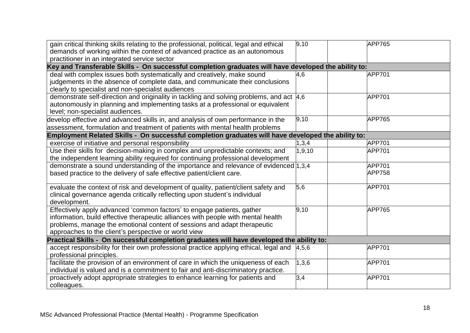| gain critical thinking skills relating to the professional, political, legal and ethical               | 9,10   | <b>APP765</b> |
|--------------------------------------------------------------------------------------------------------|--------|---------------|
| demands of working within the context of advanced practice as an autonomous                            |        |               |
| practitioner in an integrated service sector                                                           |        |               |
| Key and Transferable Skills - On successful completion graduates will have developed the ability to:   |        |               |
| deal with complex issues both systematically and creatively, make sound                                | 4,6    | APP701        |
| judgements in the absence of complete data, and communicate their conclusions                          |        |               |
| clearly to specialist and non-specialist audiences                                                     |        |               |
| demonstrate self-direction and originality in tackling and solving problems, and act $\vert 4,6 \vert$ |        | <b>APP701</b> |
| autonomously in planning and implementing tasks at a professional or equivalent                        |        |               |
| level; non-specialist audiences.                                                                       |        |               |
| develop effective and advanced skills in, and analysis of own performance in the                       | 9,10   | <b>APP765</b> |
| assessment, formulation and treatment of patients with mental health problems                          |        |               |
| Employment Related Skills - On successful completion graduates will have developed the ability to:     |        |               |
| exercise of initiative and personal responsibility                                                     | 1,3,4  | <b>APP701</b> |
| Use their skills for decision-making in complex and unpredictable contexts; and                        | 1,9,10 | APP701        |
| the independent learning ability required for continuing professional development                      |        |               |
| demonstrate a sound understanding of the importance and relevance of evidenced  1,3,4                  |        | APP701        |
| based practice to the delivery of safe effective patient/client care.                                  |        | <b>APP758</b> |
|                                                                                                        |        |               |
| evaluate the context of risk and development of quality, patient/client safety and                     | 5,6    | APP701        |
| clinical governance agenda critically reflecting upon student's individual                             |        |               |
| development.                                                                                           |        |               |
| Effectively apply advanced 'common factors' to engage patients, gather                                 | 9,10   | <b>APP765</b> |
| information, build effective therapeutic alliances with people with mental health                      |        |               |
| problems, manage the emotional content of sessions and adapt therapeutic                               |        |               |
| approaches to the client's perspective or world view                                                   |        |               |
| Practical Skills - On successful completion graduates will have developed the ability to:              |        |               |
| accept responsibility for their own professional practice applying ethical, legal and                  | 4,5,6  | APP701        |
| professional principles.                                                                               |        |               |
| facilitate the provision of an environment of care in which the uniqueness of each                     | 1,3,6  | <b>APP701</b> |
| individual is valued and is a commitment to fair and anti-discriminatory practice.                     |        |               |
| proactively adopt appropriate strategies to enhance learning for patients and                          | 3,4    | APP701        |
| colleagues.                                                                                            |        |               |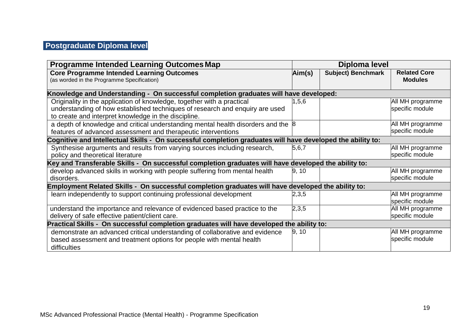# **Postgraduate Diploma level**

| <b>Programme Intended Learning Outcomes Map</b>                                                                                                                                                                |        | Diploma level             |                                       |  |
|----------------------------------------------------------------------------------------------------------------------------------------------------------------------------------------------------------------|--------|---------------------------|---------------------------------------|--|
| <b>Core Programme Intended Learning Outcomes</b><br>(as worded in the Programme Specification)                                                                                                                 | Aim(s) | <b>Subject) Benchmark</b> | <b>Related Core</b><br><b>Modules</b> |  |
| Knowledge and Understanding - On successful completion graduates will have developed:                                                                                                                          |        |                           |                                       |  |
| Originality in the application of knowledge, together with a practical<br>understanding of how established techniques of research and enquiry are used<br>to create and interpret knowledge in the discipline. | 1,5,6  |                           | All MH programme<br>specific module   |  |
| a depth of knowledge and critical understanding mental health disorders and the $\beta$<br>features of advanced assessment and therapeutic interventions                                                       |        |                           | All MH programme<br>specific module   |  |
| Cognitive and Intellectual Skills - On successful completion graduates will have developed the ability to:                                                                                                     |        |                           |                                       |  |
| Synthesise arguments and results from varying sources including research,<br>policy and theoretical literature                                                                                                 | 5,6,7  |                           | All MH programme<br>specific module   |  |
| Key and Transferable Skills - On successful completion graduates will have developed the ability to:                                                                                                           |        |                           |                                       |  |
| develop advanced skills in working with people suffering from mental health<br>disorders.                                                                                                                      | 9, 10  |                           | All MH programme<br>specific module   |  |
| Employment Related Skills - On successful completion graduates will have developed the ability to:                                                                                                             |        |                           |                                       |  |
| learn independently to support continuing professional development                                                                                                                                             | 2,3,5  |                           | All MH programme<br>specific module   |  |
| understand the importance and relevance of evidenced based practice to the<br>delivery of safe effective patient/client care.                                                                                  | 2,3,5  |                           | All MH programme<br>specific module   |  |
| Practical Skills - On successful completion graduates will have developed the ability to:                                                                                                                      |        |                           |                                       |  |
| demonstrate an advanced critical understanding of collaborative and evidence<br>based assessment and treatment options for people with mental health<br>difficulties                                           | 9, 10  |                           | All MH programme<br>specific module   |  |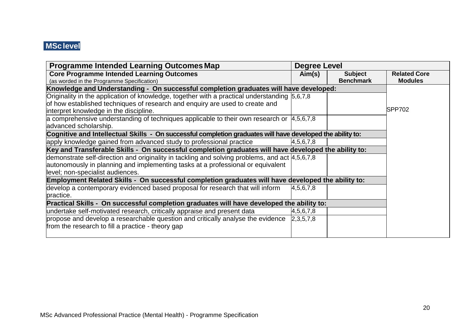# **MSc level**

| <b>Programme Intended Learning Outcomes Map</b>                                                            | Degree Level |                  |                     |
|------------------------------------------------------------------------------------------------------------|--------------|------------------|---------------------|
| <b>Core Programme Intended Learning Outcomes</b>                                                           | Aim(s)       | <b>Subject</b>   | <b>Related Core</b> |
| (as worded in the Programme Specification)                                                                 |              | <b>Benchmark</b> | <b>Modules</b>      |
| Knowledge and Understanding - On successful completion graduates will have developed:                      |              |                  |                     |
| Originality in the application of knowledge, together with a practical understanding $[5,6,7,8]$           |              |                  |                     |
| of how established techniques of research and enquiry are used to create and                               |              |                  |                     |
| interpret knowledge in the discipline.                                                                     |              |                  | <b>SPP702</b>       |
| a comprehensive understanding of techniques applicable to their own research or $\,4,5,6,7,8$              |              |                  |                     |
| advanced scholarship.                                                                                      |              |                  |                     |
| Cognitive and Intellectual Skills - On successful completion graduates will have developed the ability to: |              |                  |                     |
| apply knowledge gained from advanced study to professional practice                                        | 4,5,6,7,8    |                  |                     |
| Key and Transferable Skills - On successful completion graduates will have developed the ability to:       |              |                  |                     |
| demonstrate self-direction and originality in tackling and solving problems, and act 4,5,6,7,8             |              |                  |                     |
| autonomously in planning and implementing tasks at a professional or equivalent                            |              |                  |                     |
| level; non-specialist audiences.                                                                           |              |                  |                     |
| Employment Related Skills - On successful completion graduates will have developed the ability to:         |              |                  |                     |
| develop a contemporary evidenced based proposal for research that will inform                              | 4,5,6,7,8    |                  |                     |
| practice.                                                                                                  |              |                  |                     |
| Practical Skills - On successful completion graduates will have developed the ability to:                  |              |                  |                     |
| undertake self-motivated research, critically appraise and present data                                    | 4,5,6,7,8    |                  |                     |
| propose and develop a researchable question and critically analyse the evidence                            | 2,3,5,7,8    |                  |                     |
| from the research to fill a practice - theory gap                                                          |              |                  |                     |
|                                                                                                            |              |                  |                     |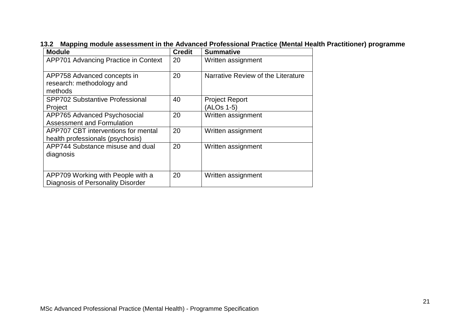| <b>Module</b>                                                       | <b>Credit</b> | <b>Summative</b>                   |
|---------------------------------------------------------------------|---------------|------------------------------------|
| APP701 Advancing Practice in Context                                | 20            | Written assignment                 |
| APP758 Advanced concepts in<br>research: methodology and<br>methods | 20            | Narrative Review of the Literature |
| <b>SPP702 Substantive Professional</b>                              | 40            | <b>Project Report</b>              |
| Project                                                             |               | (ALOs 1-5)                         |
| <b>APP765 Advanced Psychosocial</b>                                 | 20            | Written assignment                 |
| Assessment and Formulation                                          |               |                                    |
| APP707 CBT interventions for mental                                 | 20            | Written assignment                 |
| health professionals (psychosis)                                    |               |                                    |
| APP744 Substance misuse and dual                                    | 20            | Written assignment                 |
| diagnosis                                                           |               |                                    |
|                                                                     |               |                                    |
| APP709 Working with People with a                                   | 20            | Written assignment                 |
| Diagnosis of Personality Disorder                                   |               |                                    |

**13.2 Mapping module assessment in the Advanced Professional Practice (Mental Health Practitioner) programme**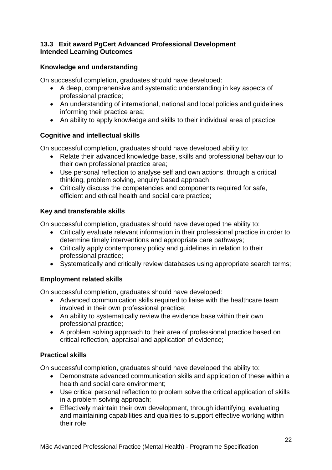#### **13.3 Exit award PgCert Advanced Professional Development Intended Learning Outcomes**

#### **Knowledge and understanding**

On successful completion, graduates should have developed:

- A deep, comprehensive and systematic understanding in key aspects of professional practice;
- An understanding of international, national and local policies and guidelines informing their practice area;
- An ability to apply knowledge and skills to their individual area of practice

## **Cognitive and intellectual skills**

On successful completion, graduates should have developed ability to:

- Relate their advanced knowledge base, skills and professional behaviour to their own professional practice area;
- Use personal reflection to analyse self and own actions, through a critical thinking, problem solving, enquiry based approach;
- Critically discuss the competencies and components required for safe, efficient and ethical health and social care practice;

## **Key and transferable skills**

On successful completion, graduates should have developed the ability to:

- Critically evaluate relevant information in their professional practice in order to determine timely interventions and appropriate care pathways;
- Critically apply contemporary policy and guidelines in relation to their professional practice;
- Systematically and critically review databases using appropriate search terms;

## **Employment related skills**

On successful completion, graduates should have developed:

- Advanced communication skills required to liaise with the healthcare team involved in their own professional practice;
- An ability to systematically review the evidence base within their own professional practice;
- A problem solving approach to their area of professional practice based on critical reflection, appraisal and application of evidence;

## **Practical skills**

On successful completion, graduates should have developed the ability to:

- Demonstrate advanced communication skills and application of these within a health and social care environment;
- Use critical personal reflection to problem solve the critical application of skills in a problem solving approach;
- Effectively maintain their own development, through identifying, evaluating and maintaining capabilities and qualities to support effective working within their role.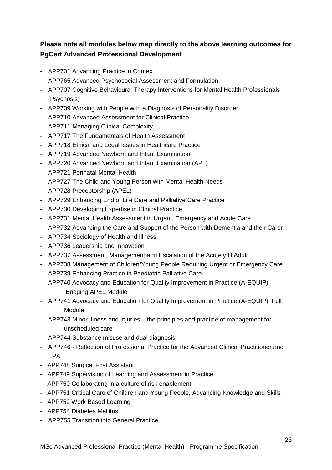# **Please note all modules below map directly to the above learning outcomes for PgCert Advanced Professional Development**

- APP701 Advancing Practice in Context
- APP765 Advanced Psychosocial Assessment and Formulation
- APP707 Cognitive Behavioural Therapy Interventions for Mental Health Professionals (Psychosis)
- APP709 Working with People with a Diagnosis of Personality Disorder
- APP710 Advanced Assessment for Clinical Practice
- APP711 Managing Clinical Complexity
- APP717 The Fundamentals of Health Assessment
- APP718 Ethical and Legal Issues in Healthcare Practice
- APP719 Advanced Newborn and Infant Examination
- APP720 Advanced Newborn and Infant Examination (APL)
- APP721 Perinatal Mental Health
- APP727 The Child and Young Person with Mental Health Needs
- APP728 Preceptorship (APEL)
- APP729 Enhancing End of Life Care and Palliative Care Practice
- APP730 Developing Expertise in Clinical Practice
- APP731 Mental Health Assessment in Urgent, Emergency and Acute Care
- APP732 Advancing the Care and Support of the Person with Dementia and their Carer
- APP734 Sociology of Health and Illness
- APP736 Leadership and Innovation
- APP737 Assessment, Management and Escalation of the Acutely Ill Adult
- APP738 Management of Children/Young People Requiring Urgent or Emergency Care
- APP739 Enhancing Practice in Paediatric Palliative Care
- APP740 Advocacy and Education for Quality Improvement in Practice (A-EQUIP) Bridging APEL Module
- APP741 Advocacy and Education for Quality Improvement in Practice (A-EQUIP) Full Module
- APP743 Minor Illness and Injuries the principles and practice of management for unscheduled care
- APP744 Substance misuse and dual diagnosis
- APP746 Reflection of Professional Practice for the Advanced Clinical Practitioner and EPA
- APP748 Surgical First Assistant
- APP749 Supervision of Learning and Assessment in Practice
- APP750 Collaborating in a culture of risk enablement
- APP751 Critical Care of Children and Young People, Advancing Knowledge and Skills
- APP752 Work Based Learning
- APP754 Diabetes Mellitus
- APP755 Transition into General Practice